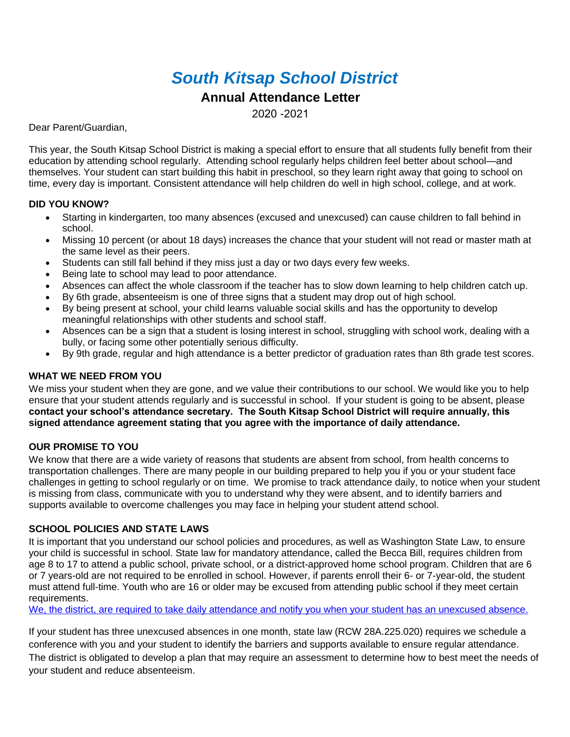# *South Kitsap School District*

## **Annual Attendance Letter**

2020 -2021

Dear Parent/Guardian,

This year, the South Kitsap School District is making a special effort to ensure that all students fully benefit from their education by attending school regularly. Attending school regularly helps children feel better about school—and themselves. Your student can start building this habit in preschool, so they learn right away that going to school on time, every day is important. Consistent attendance will help children do well in high school, college, and at work.

#### **DID YOU KNOW?**

- Starting in kindergarten, too many absences (excused and unexcused) can cause children to fall behind in school.
- Missing 10 percent (or about 18 days) increases the chance that your student will not read or master math at the same level as their peers.
- Students can still fall behind if they miss just a day or two days every few weeks.
- Being late to school may lead to poor attendance.
- Absences can affect the whole classroom if the teacher has to slow down learning to help children catch up.
- By 6th grade, absenteeism is one of three signs that a student may drop out of high school.
- By being present at school, your child learns valuable social skills and has the opportunity to develop meaningful relationships with other students and school staff.
- Absences can be a sign that a student is losing interest in school, struggling with school work, dealing with a bully, or facing some other potentially serious difficulty.
- By 9th grade, regular and high attendance is a better predictor of graduation rates than 8th grade test scores.

#### **WHAT WE NEED FROM YOU**

We miss your student when they are gone, and we value their contributions to our school. We would like you to help ensure that your student attends regularly and is successful in school. If your student is going to be absent, please **contact your school's attendance secretary. The South Kitsap School District will require annually, this signed attendance agreement stating that you agree with the importance of daily attendance.**

#### **OUR PROMISE TO YOU**

We know that there are a wide variety of reasons that students are absent from school, from health concerns to transportation challenges. There are many people in our building prepared to help you if you or your student face challenges in getting to school regularly or on time. We promise to track attendance daily, to notice when your student is missing from class, communicate with you to understand why they were absent, and to identify barriers and supports available to overcome challenges you may face in helping your student attend school.

#### **SCHOOL POLICIES AND STATE LAWS**

It is important that you understand our school policies and procedures, as well as Washington State Law, to ensure your child is successful in school. State law for mandatory attendance, called the Becca Bill, requires children from age 8 to 17 to attend a public school, private school, or a district-approved home school program. Children that are 6 or 7 years-old are not required to be enrolled in school. However, if parents enroll their 6- or 7-year-old, the student must attend full-time. Youth who are 16 or older may be excused from attending public school if they meet certain requirements.

We, the district, are required to take daily attendance and notify you when your student has an unexcused absence.

If your student has three unexcused absences in one month, state law (RCW 28A.225.020) requires we schedule a conference with you and your student to identify the barriers and supports available to ensure regular attendance. The district is obligated to develop a plan that may require an assessment to determine how to best meet the needs of your student and reduce absenteeism.